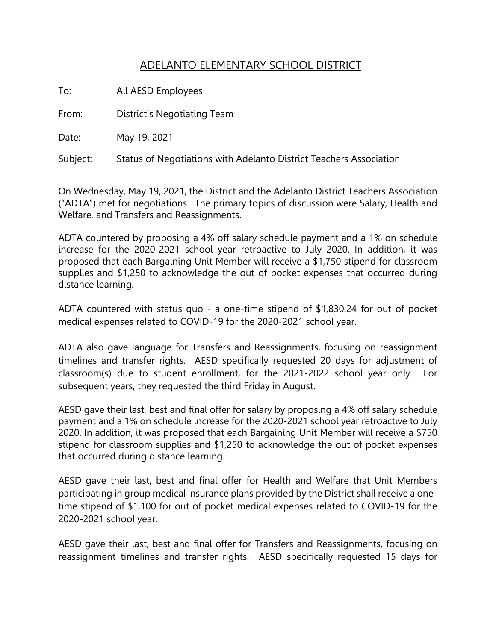## ADELANTO ELEMENTARY SCHOOL DISTRICT

To: All AESD Employees

From: District's Negotiating Team

Date: May 19, 2021

Subject: Status of Negotiations with Adelanto District Teachers Association

On Wednesday, May 19, 2021, the District and the Adelanto District Teachers Association ("ADTA") met for negotiations. The primary topics of discussion were Salary, Health and Welfare, and Transfers and Reassignments.

ADTA countered by proposing a 4% off salary schedule payment and a 1% on schedule increase for the 2020-2021 school year retroactive to July 2020. In addition, it was proposed that each Bargaining Unit Member will receive a \$1,750 stipend for classroom supplies and \$1,250 to acknowledge the out of pocket expenses that occurred during distance learning.

ADTA countered with status quo - a one-time stipend of \$1,830.24 for out of pocket medical expenses related to COVID-19 for the 2020-2021 school year.

ADTA also gave language for Transfers and Reassignments, focusing on reassignment timelines and transfer rights. AESD specifically requested 20 days for adjustment of classroom(s) due to student enrollment, for the 2021-2022 school year only. For subsequent years, they requested the third Friday in August.

AESD gave their last, best and final offer for salary by proposing a 4% off salary schedule payment and a 1% on schedule increase for the 2020-2021 school year retroactive to July 2020. In addition, it was proposed that each Bargaining Unit Member will receive a \$750 stipend for classroom supplies and \$1,250 to acknowledge the out of pocket expenses that occurred during distance learning.

AESD gave their last, best and final offer for Health and Welfare that Unit Members participating in group medical insurance plans provided by the District shall receive a onetime stipend of \$1,100 for out of pocket medical expenses related to COVID-19 for the 2020-2021 school year.

AESD gave their last, best and final offer for Transfers and Reassignments, focusing on reassignment timelines and transfer rights. AESD specifically requested 15 days for